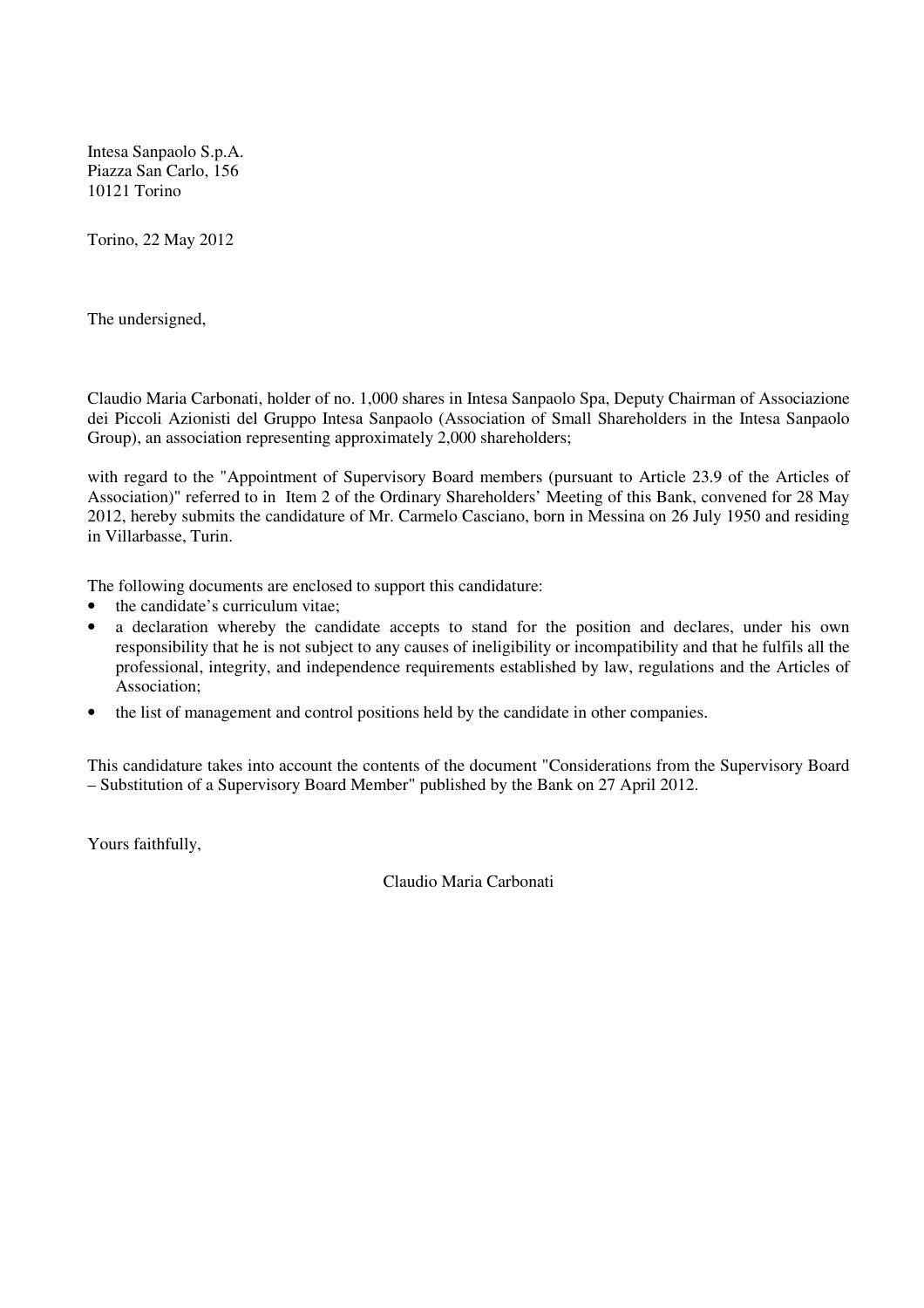Intesa Sanpaolo S.p.A. Piazza San Carlo, 156 10121 Torino

Torino, 22 May 2012

The undersigned,

Claudio Maria Carbonati, holder of no. 1,000 shares in Intesa Sanpaolo Spa, Deputy Chairman of Associazione dei Piccoli Azionisti del Gruppo Intesa Sanpaolo (Association of Small Shareholders in the Intesa Sanpaolo Group), an association representing approximately 2,000 shareholders;

with regard to the "Appointment of Supervisory Board members (pursuant to Article 23.9 of the Articles of Association)" referred to in Item 2 of the Ordinary Shareholders' Meeting of this Bank, convened for 28 May 2012, hereby submits the candidature of Mr. Carmelo Casciano, born in Messina on 26 July 1950 and residing in Villarbasse, Turin.

The following documents are enclosed to support this candidature:

- the candidate's curriculum vitae;
- a declaration whereby the candidate accepts to stand for the position and declares, under his own responsibility that he is not subject to any causes of ineligibility or incompatibility and that he fulfils all the professional, integrity, and independence requirements established by law, regulations and the Articles of Association;
- the list of management and control positions held by the candidate in other companies.

This candidature takes into account the contents of the document "Considerations from the Supervisory Board – Substitution of a Supervisory Board Member" published by the Bank on 27 April 2012.

Yours faithfully,

Claudio Maria Carbonati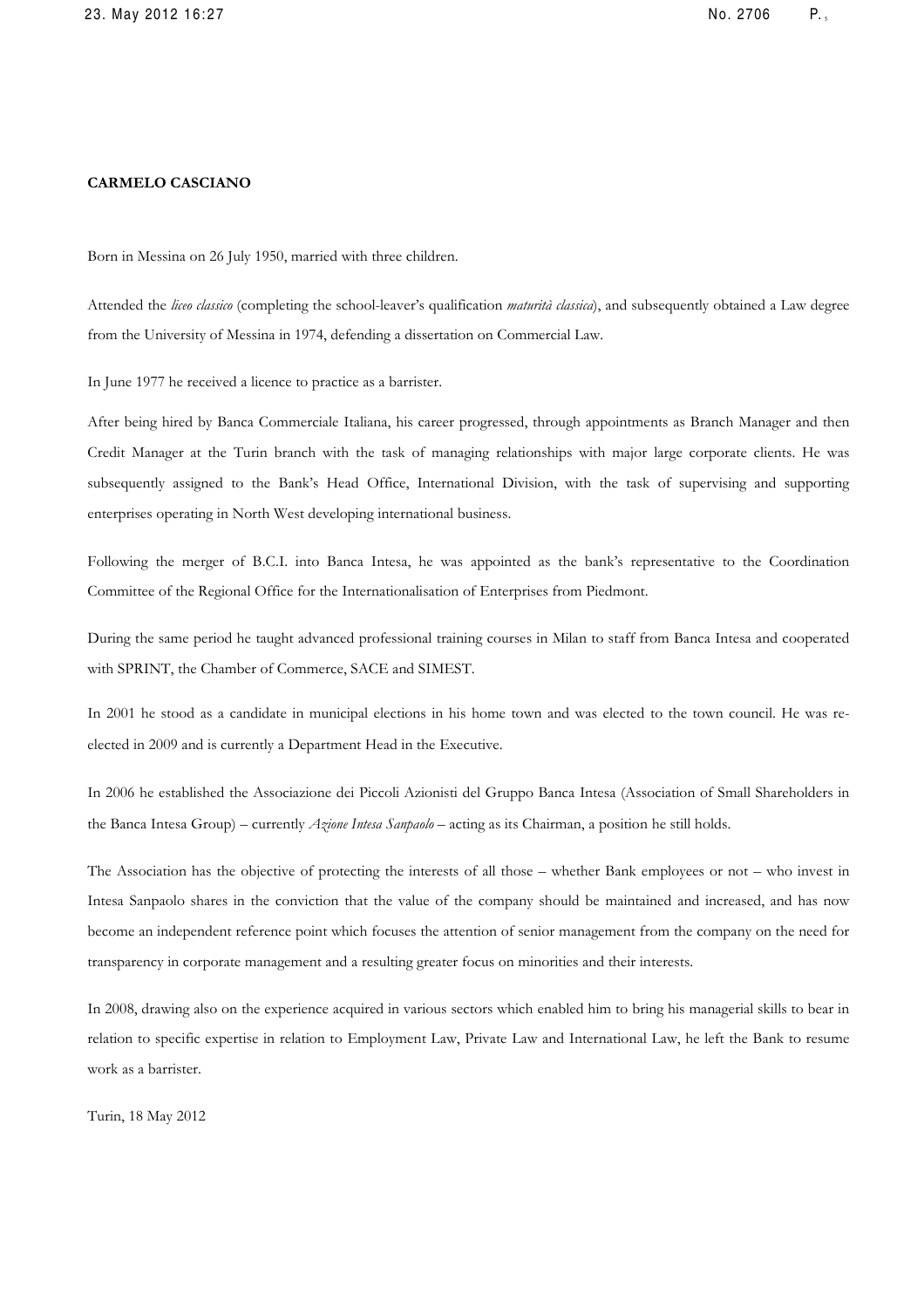#### CARMELO CASCIANO

Born in Messina on 26 July 1950, married with three children.

Attended the liceo classico (completing the school-leaver's qualification maturità classica), and subsequently obtained a Law degree from the University of Messina in 1974, defending a dissertation on Commercial Law.

In June 1977 he received a licence to practice as a barrister.

After being hired by Banca Commerciale Italiana, his career progressed, through appointments as Branch Manager and then Credit Manager at the Turin branch with the task of managing relationships with major large corporate clients. He was subsequently assigned to the Bank's Head Office, International Division, with the task of supervising and supporting enterprises operating in North West developing international business.

Following the merger of B.C.I. into Banca Intesa, he was appointed as the bank's representative to the Coordination Committee of the Regional Office for the Internationalisation of Enterprises from Piedmont.

During the same period he taught advanced professional training courses in Milan to staff from Banca Intesa and cooperated with SPRINT, the Chamber of Commerce, SACE and SIMEST.

In 2001 he stood as a candidate in municipal elections in his home town and was elected to the town council. He was reelected in 2009 and is currently a Department Head in the Executive.

In 2006 he established the Associazione dei Piccoli Azionisti del Gruppo Banca Intesa (Association of Small Shareholders in the Banca Intesa Group) – currently Azione Intesa Sanpaolo – acting as its Chairman, a position he still holds.

The Association has the objective of protecting the interests of all those – whether Bank employees or not – who invest in Intesa Sanpaolo shares in the conviction that the value of the company should be maintained and increased, and has now become an independent reference point which focuses the attention of senior management from the company on the need for transparency in corporate management and a resulting greater focus on minorities and their interests.

In 2008, drawing also on the experience acquired in various sectors which enabled him to bring his managerial skills to bear in relation to specific expertise in relation to Employment Law, Private Law and International Law, he left the Bank to resume work as a barrister.

Turin, 18 May 2012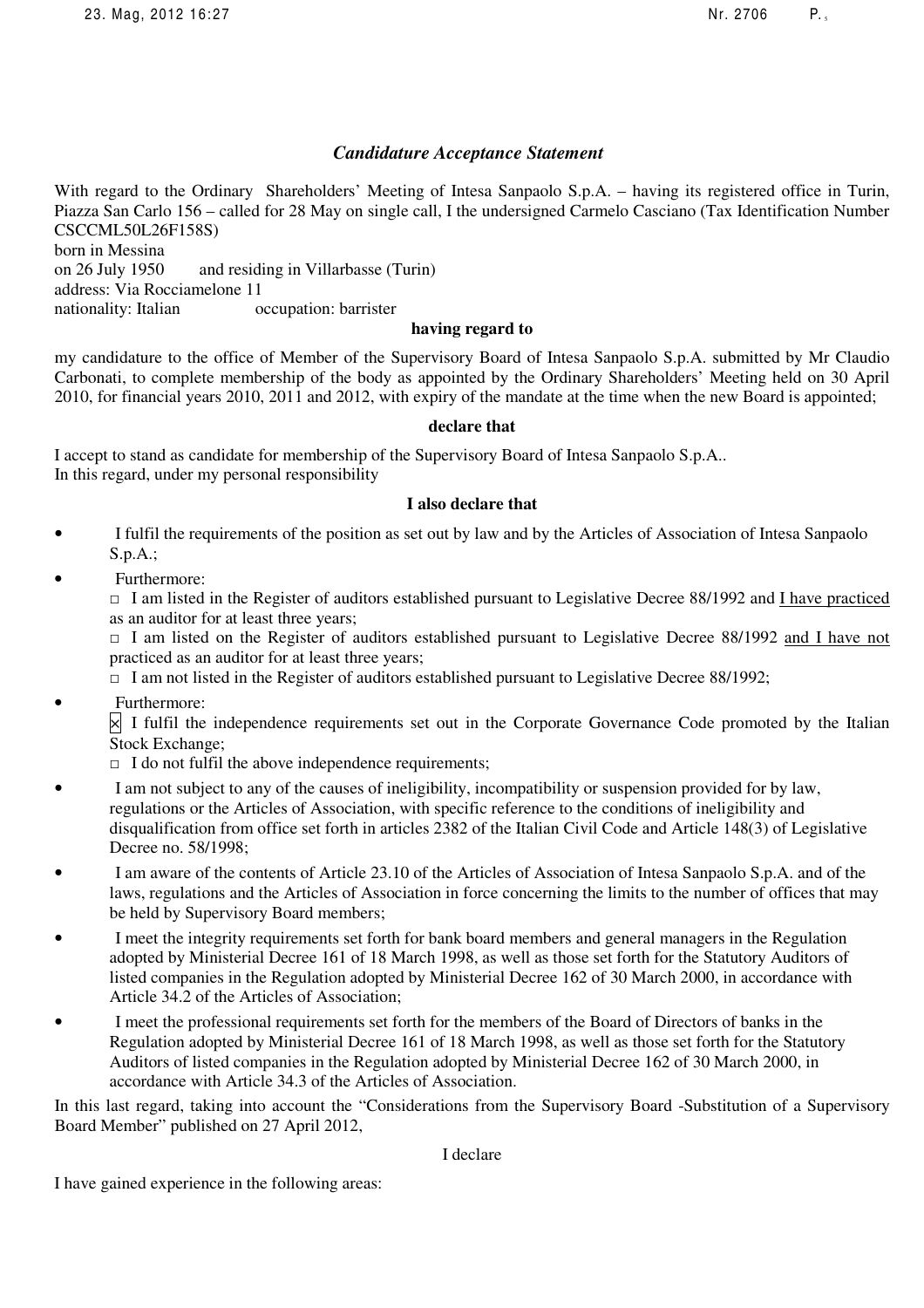# *Candidature Acceptance Statement*

With regard to the Ordinary Shareholders' Meeting of Intesa Sanpaolo S.p.A. – having its registered office in Turin, Piazza San Carlo 156 – called for 28 May on single call, I the undersigned Carmelo Casciano (Tax Identification Number CSCCML50L26F158S) born in Messina on 26 July 1950 and residing in Villarbasse (Turin) address: Via Rocciamelone 11 nationality: Italian occupation: barrister

## **having regard to**

my candidature to the office of Member of the Supervisory Board of Intesa Sanpaolo S.p.A. submitted by Mr Claudio Carbonati, to complete membership of the body as appointed by the Ordinary Shareholders' Meeting held on 30 April 2010, for financial years 2010, 2011 and 2012, with expiry of the mandate at the time when the new Board is appointed;

## **declare that**

I accept to stand as candidate for membership of the Supervisory Board of Intesa Sanpaolo S.p.A.. In this regard, under my personal responsibility

## **I also declare that**

- I fulfil the requirements of the position as set out by law and by the Articles of Association of Intesa Sanpaolo S.p.A.;
- Furthermore:

 $\Box$  I am listed in the Register of auditors established pursuant to Legislative Decree 88/1992 and I have practiced as an auditor for at least three years;

□ I am listed on the Register of auditors established pursuant to Legislative Decree 88/1992 and I have not practiced as an auditor for at least three years;

 $\Box$  I am not listed in the Register of auditors established pursuant to Legislative Decree 88/1992;

• Furthermore:

 $\times$  I fulfil the independence requirements set out in the Corporate Governance Code promoted by the Italian Stock Exchange;

- $\Box$  I do not fulfil the above independence requirements;
- I am not subject to any of the causes of ineligibility, incompatibility or suspension provided for by law, regulations or the Articles of Association, with specific reference to the conditions of ineligibility and disqualification from office set forth in articles 2382 of the Italian Civil Code and Article 148(3) of Legislative Decree no. 58/1998;
- I am aware of the contents of Article 23.10 of the Articles of Association of Intesa Sanpaolo S.p.A. and of the laws, regulations and the Articles of Association in force concerning the limits to the number of offices that may be held by Supervisory Board members;
- I meet the integrity requirements set forth for bank board members and general managers in the Regulation adopted by Ministerial Decree 161 of 18 March 1998, as well as those set forth for the Statutory Auditors of listed companies in the Regulation adopted by Ministerial Decree 162 of 30 March 2000, in accordance with Article 34.2 of the Articles of Association;
- I meet the professional requirements set forth for the members of the Board of Directors of banks in the Regulation adopted by Ministerial Decree 161 of 18 March 1998, as well as those set forth for the Statutory Auditors of listed companies in the Regulation adopted by Ministerial Decree 162 of 30 March 2000, in accordance with Article 34.3 of the Articles of Association.

In this last regard, taking into account the "Considerations from the Supervisory Board -Substitution of a Supervisory Board Member" published on 27 April 2012,

I declare

I have gained experience in the following areas: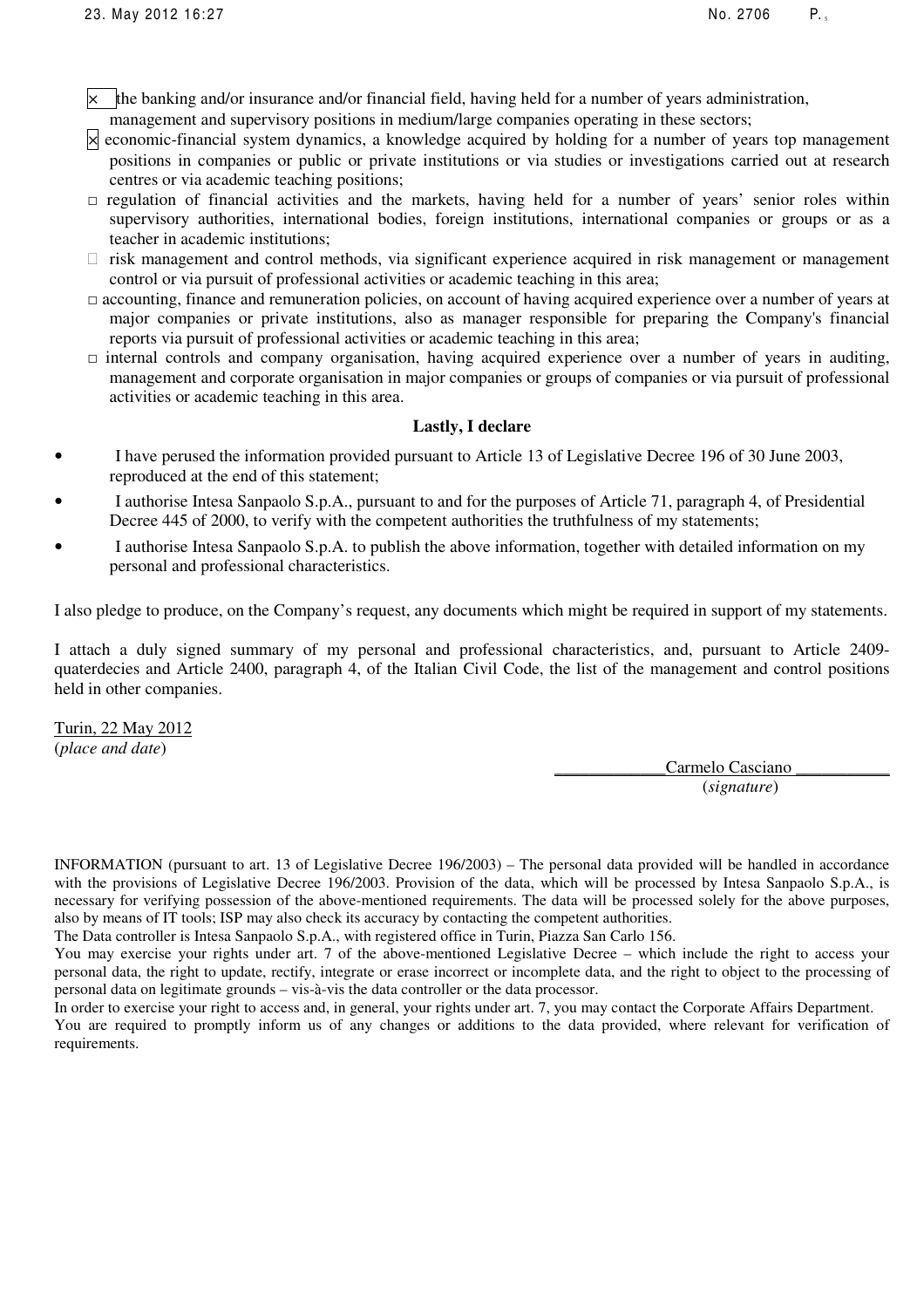- $\vert x \vert$  the banking and/or insurance and/or financial field, having held for a number of years administration,
- management and supervisory positions in medium/large companies operating in these sectors;
- $\times$  economic-financial system dynamics, a knowledge acquired by holding for a number of years top management positions in companies or public or private institutions or via studies or investigations carried out at research centres or via academic teaching positions;
- $\Box$  regulation of financial activities and the markets, having held for a number of years' senior roles within supervisory authorities, international bodies, foreign institutions, international companies or groups or as a teacher in academic institutions;

 risk management and control methods, via significant experience acquired in risk management or management control or via pursuit of professional activities or academic teaching in this area;

- □ accounting, finance and remuneration policies, on account of having acquired experience over a number of years at major companies or private institutions, also as manager responsible for preparing the Company's financial reports via pursuit of professional activities or academic teaching in this area;
- $\Box$  internal controls and company organisation, having acquired experience over a number of years in auditing, management and corporate organisation in major companies or groups of companies or via pursuit of professional activities or academic teaching in this area.

### **Lastly, I declare**

- I have perused the information provided pursuant to Article 13 of Legislative Decree 196 of 30 June 2003, reproduced at the end of this statement;
- I authorise Intesa Sanpaolo S.p.A., pursuant to and for the purposes of Article 71, paragraph 4, of Presidential Decree 445 of 2000, to verify with the competent authorities the truthfulness of my statements;
- I authorise Intesa Sanpaolo S.p.A. to publish the above information, together with detailed information on my personal and professional characteristics.

I also pledge to produce, on the Company's request, any documents which might be required in support of my statements.

I attach a duly signed summary of my personal and professional characteristics, and, pursuant to Article 2409 quaterdecies and Article 2400, paragraph 4, of the Italian Civil Code, the list of the management and control positions held in other companies.

Turin, 22 May 2012 (*place and date*)

> Carmelo Casciano (*signature*)

INFORMATION (pursuant to art. 13 of Legislative Decree 196/2003) – The personal data provided will be handled in accordance with the provisions of Legislative Decree 196/2003. Provision of the data, which will be processed by Intesa Sanpaolo S.p.A., is necessary for verifying possession of the above-mentioned requirements. The data will be processed solely for the above purposes, also by means of IT tools; ISP may also check its accuracy by contacting the competent authorities.

The Data controller is Intesa Sanpaolo S.p.A., with registered office in Turin, Piazza San Carlo 156.

You may exercise your rights under art. 7 of the above-mentioned Legislative Decree – which include the right to access your personal data, the right to update, rectify, integrate or erase incorrect or incomplete data, and the right to object to the processing of personal data on legitimate grounds – vis-à-vis the data controller or the data processor.

In order to exercise your right to access and, in general, your rights under art. 7, you may contact the Corporate Affairs Department. You are required to promptly inform us of any changes or additions to the data provided, where relevant for verification of requirements.